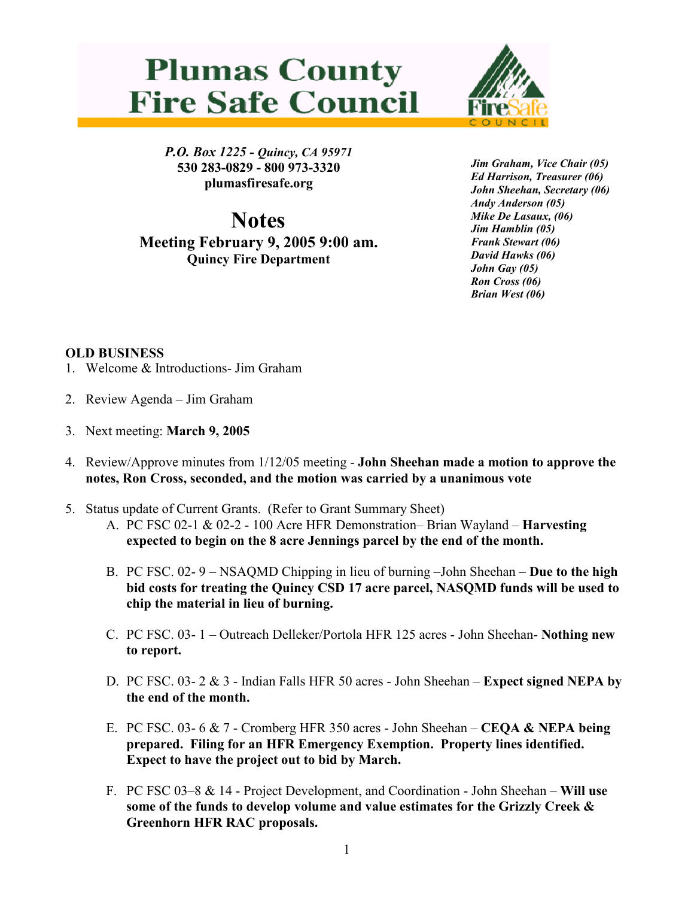## **Plumas County Fire Safe Council**



P.O. Box 1225 - Quincy, CA 95971 530 283-0829 - 800 973-3320 plumasfiresafe.org

**Notes** Meeting February 9, 2005 9:00 am. Quincy Fire Department

Jim Graham, Vice Chair (05) Ed Harrison, Treasurer (06) John Sheehan, Secretary (06) Andy Anderson (05) Mike De Lasaux, (06) Jim Hamblin (05) Frank Stewart (06) David Hawks (06) John Gay (05) Ron Cross (06) Brian West (06)

## OLD BUSINESS

- 1. Welcome & Introductions- Jim Graham
- 2. Review Agenda Jim Graham
- 3. Next meeting: March 9, 2005
- 4. Review/Approve minutes from 1/12/05 meeting John Sheehan made a motion to approve the notes, Ron Cross, seconded, and the motion was carried by a unanimous vote
- 5. Status update of Current Grants. (Refer to Grant Summary Sheet)
	- A. PC FSC 02-1 & 02-2 100 Acre HFR Demonstration– Brian Wayland Harvesting expected to begin on the 8 acre Jennings parcel by the end of the month.
	- B. PC FSC. 02- 9 NSAQMD Chipping in lieu of burning –John Sheehan Due to the high bid costs for treating the Quincy CSD 17 acre parcel, NASQMD funds will be used to chip the material in lieu of burning.
	- C. PC FSC. 03- 1 Outreach Delleker/Portola HFR 125 acres John Sheehan- Nothing new to report.
	- D. PC FSC. 03- 2 & 3 Indian Falls HFR 50 acres John Sheehan Expect signed NEPA by the end of the month.
	- E. PC FSC. 03- 6 & 7 Cromberg HFR 350 acres John Sheehan **CEQA & NEPA being** prepared. Filing for an HFR Emergency Exemption. Property lines identified. Expect to have the project out to bid by March.
	- F. PC FSC 03–8 & 14 Project Development, and Coordination John Sheehan Will use some of the funds to develop volume and value estimates for the Grizzly Creek & Greenhorn HFR RAC proposals.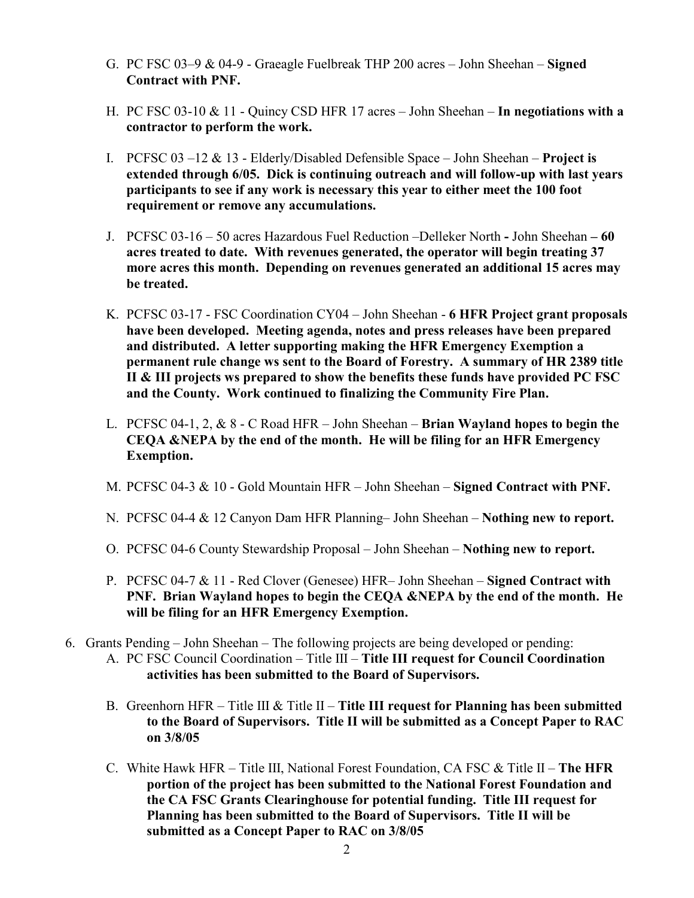- G. PC FSC 03–9 & 04-9 Graeagle Fuelbreak THP 200 acres John Sheehan Signed Contract with PNF.
- H. PC FSC 03-10 & 11 Quincy CSD HFR 17 acres John Sheehan In negotiations with a contractor to perform the work.
- I. PCFSC  $03 12 \& 13$  Elderly/Disabled Defensible Space John Sheehan Project is extended through 6/05. Dick is continuing outreach and will follow-up with last years participants to see if any work is necessary this year to either meet the 100 foot requirement or remove any accumulations.
- J. PCFSC 03-16 50 acres Hazardous Fuel Reduction –Delleker North John Sheehan 60 acres treated to date. With revenues generated, the operator will begin treating 37 more acres this month. Depending on revenues generated an additional 15 acres may be treated.
- K. PCFSC 03-17 FSC Coordination CY04 John Sheehan 6 HFR Project grant proposals have been developed. Meeting agenda, notes and press releases have been prepared and distributed. A letter supporting making the HFR Emergency Exemption a permanent rule change ws sent to the Board of Forestry. A summary of HR 2389 title II & III projects ws prepared to show the benefits these funds have provided PC FSC and the County. Work continued to finalizing the Community Fire Plan.
- L. PCFSC 04-1, 2, & 8 C Road HFR John Sheehan Brian Wayland hopes to begin the CEQA &NEPA by the end of the month. He will be filing for an HFR Emergency Exemption.
- M. PCFSC 04-3 & 10 Gold Mountain HFR John Sheehan Signed Contract with PNF.
- N. PCFSC 04-4 & 12 Canyon Dam HFR Planning– John Sheehan Nothing new to report.
- O. PCFSC 04-6 County Stewardship Proposal John Sheehan Nothing new to report.
- P. PCFSC 04-7 & 11 Red Clover (Genesee) HFR– John Sheehan Signed Contract with PNF. Brian Wayland hopes to begin the CEQA &NEPA by the end of the month. He will be filing for an HFR Emergency Exemption.
- 6. Grants Pending John Sheehan The following projects are being developed or pending: A. PC FSC Council Coordination – Title III – Title III request for Council Coordination activities has been submitted to the Board of Supervisors.
	- B. Greenhorn HFR Title III & Title II Title III request for Planning has been submitted to the Board of Supervisors. Title II will be submitted as a Concept Paper to RAC on 3/8/05
	- C. White Hawk HFR Title III, National Forest Foundation, CA FSC  $\&$  Title II The HFR portion of the project has been submitted to the National Forest Foundation and the CA FSC Grants Clearinghouse for potential funding. Title III request for Planning has been submitted to the Board of Supervisors. Title II will be submitted as a Concept Paper to RAC on 3/8/05